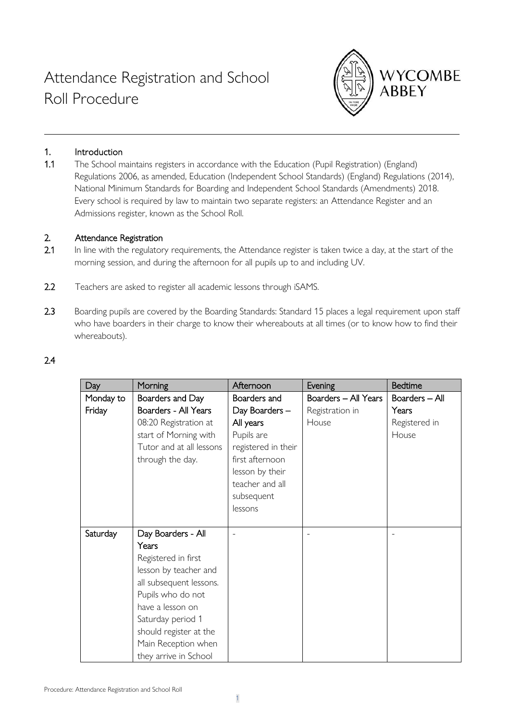

# 1. Introduction

1.1 The School maintains registers in accordance with the Education (Pupil Registration) (England) Regulations 2006, as amended, Education (Independent School Standards) (England) Regulations (2014), National Minimum Standards for Boarding and Independent School Standards (Amendments) 2018. Every school is required by law to maintain two separate registers: an Attendance Register and an Admissions register, known as the School Roll.

#### 2. Attendance Registration

- 2.1 In line with the regulatory requirements, the Attendance register is taken twice a day, at the start of the morning session, and during the afternoon for all pupils up to and including UV.
- 2.2 Teachers are asked to register all academic lessons through iSAMS.
- 2.3 Boarding pupils are covered by the Boarding Standards: Standard 15 places a legal requirement upon staff who have boarders in their charge to know their whereabouts at all times (or to know how to find their whereabouts).

### 2.4

| Day       | Morning                  | Afternoon           | Evening              | <b>Bedtime</b> |
|-----------|--------------------------|---------------------|----------------------|----------------|
| Monday to | Boarders and Day         | Boarders and        | Boarders - All Years | Boarders - All |
| Friday    | Boarders - All Years     | Day Boarders -      | Registration in      | Years          |
|           | 08:20 Registration at    | All years           | House                | Registered in  |
|           | start of Morning with    | Pupils are          |                      | House          |
|           | Tutor and at all lessons | registered in their |                      |                |
|           | through the day.         | first afternoon     |                      |                |
|           |                          | lesson by their     |                      |                |
|           |                          | teacher and all     |                      |                |
|           |                          | subsequent          |                      |                |
|           |                          | lessons             |                      |                |
|           |                          |                     |                      |                |
| Saturday  | Day Boarders - All       |                     |                      |                |
|           | Years                    |                     |                      |                |
|           | Registered in first      |                     |                      |                |
|           | lesson by teacher and    |                     |                      |                |
|           | all subsequent lessons.  |                     |                      |                |
|           | Pupils who do not        |                     |                      |                |
|           | have a lesson on         |                     |                      |                |
|           | Saturday period 1        |                     |                      |                |
|           | should register at the   |                     |                      |                |
|           | Main Reception when      |                     |                      |                |
|           | they arrive in School    |                     |                      |                |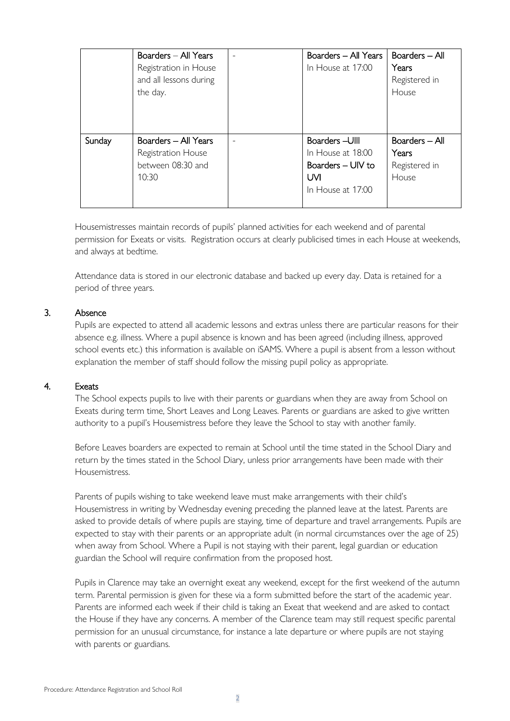|        | Boarders - All Years<br>Registration in House<br>and all lessons during<br>the day. | Boarders - All Years<br>In House at 17:00                                            | Boarders - All<br>Years<br>Registered in<br>House |
|--------|-------------------------------------------------------------------------------------|--------------------------------------------------------------------------------------|---------------------------------------------------|
| Sunday | Boarders - All Years<br>Registration House<br>between 08:30 and<br>10:30            | Boarders - Ulll<br>In House at 18:00<br>Boarders - UIV to<br>UM<br>In House at 17:00 | Boarders - All<br>Years<br>Registered in<br>House |

Housemistresses maintain records of pupils' planned activities for each weekend and of parental permission for Exeats or visits. Registration occurs at clearly publicised times in each House at weekends, and always at bedtime.

Attendance data is stored in our electronic database and backed up every day. Data is retained for a period of three years.

### 3. Absence

Pupils are expected to attend all academic lessons and extras unless there are particular reasons for their absence e.g. illness. Where a pupil absence is known and has been agreed (including illness, approved school events etc.) this information is available on iSAMS. Where a pupil is absent from a lesson without explanation the member of staff should follow the missing pupil policy as appropriate.

#### 4. Exeats

The School expects pupils to live with their parents or guardians when they are away from School on Exeats during term time, Short Leaves and Long Leaves. Parents or guardians are asked to give written authority to a pupil's Housemistress before they leave the School to stay with another family.

Before Leaves boarders are expected to remain at School until the time stated in the School Diary and return by the times stated in the School Diary, unless prior arrangements have been made with their Housemistress.

Parents of pupils wishing to take weekend leave must make arrangements with their child's Housemistress in writing by Wednesday evening preceding the planned leave at the latest. Parents are asked to provide details of where pupils are staying, time of departure and travel arrangements. Pupils are expected to stay with their parents or an appropriate adult (in normal circumstances over the age of 25) when away from School. Where a Pupil is not staying with their parent, legal guardian or education guardian the School will require confirmation from the proposed host.

Pupils in Clarence may take an overnight exeat any weekend, except for the first weekend of the autumn term. Parental permission is given for these via a form submitted before the start of the academic year. Parents are informed each week if their child is taking an Exeat that weekend and are asked to contact the House if they have any concerns. A member of the Clarence team may still request specific parental permission for an unusual circumstance, for instance a late departure or where pupils are not staying with parents or guardians.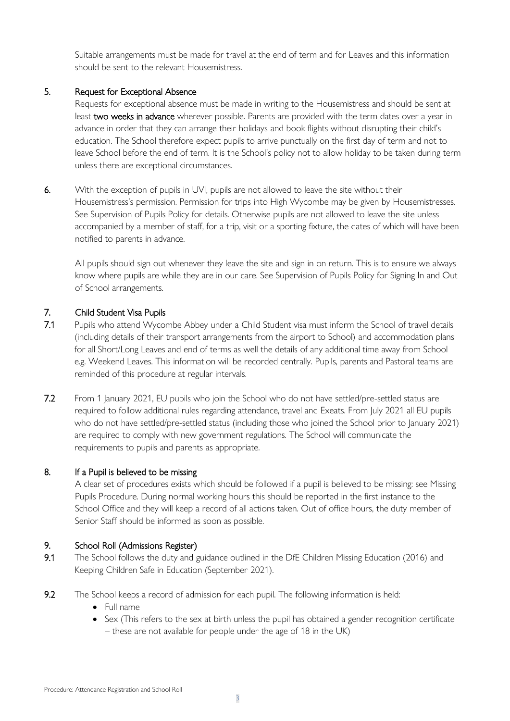Suitable arrangements must be made for travel at the end of term and for Leaves and this information should be sent to the relevant Housemistress.

### 5. Request for Exceptional Absence

Requests for exceptional absence must be made in writing to the Housemistress and should be sent at least two weeks in advance wherever possible. Parents are provided with the term dates over a year in advance in order that they can arrange their holidays and book flights without disrupting their child's education. The School therefore expect pupils to arrive punctually on the first day of term and not to leave School before the end of term. It is the School's policy not to allow holiday to be taken during term unless there are exceptional circumstances.

6. With the exception of pupils in UVI, pupils are not allowed to leave the site without their Housemistress's permission. Permission for trips into High Wycombe may be given by Housemistresses. See Supervision of Pupils Policy for details. Otherwise pupils are not allowed to leave the site unless accompanied by a member of staff, for a trip, visit or a sporting fixture, the dates of which will have been notified to parents in advance.

All pupils should sign out whenever they leave the site and sign in on return. This is to ensure we always know where pupils are while they are in our care. See Supervision of Pupils Policy for Signing In and Out of School arrangements.

# 7. Child Student Visa Pupils

- 7.1 Pupils who attend Wycombe Abbey under a Child Student visa must inform the School of travel details (including details of their transport arrangements from the airport to School) and accommodation plans for all Short/Long Leaves and end of terms as well the details of any additional time away from School e.g. Weekend Leaves. This information will be recorded centrally. Pupils, parents and Pastoral teams are reminded of this procedure at regular intervals.
- 7.2 From 1 January 2021, EU pupils who join the School who do not have settled/pre-settled status are required to follow additional rules regarding attendance, travel and Exeats. From July 2021 all EU pupils who do not have settled/pre-settled status (including those who joined the School prior to January 2021) are required to comply with new government regulations. The School will communicate the requirements to pupils and parents as appropriate.

#### 8. If a Pupil is believed to be missing

A clear set of procedures exists which should be followed if a pupil is believed to be missing: see Missing Pupils Procedure. During normal working hours this should be reported in the first instance to the School Office and they will keep a record of all actions taken. Out of office hours, the duty member of Senior Staff should be informed as soon as possible.

#### 9. School Roll (Admissions Register)

- 9.1 The School follows the duty and guidance outlined in the DfE Children Missing Education (2016) and Keeping Children Safe in Education (September 2021).
- 9.2 The School keeps a record of admission for each pupil. The following information is held:
	- Full name
	- Sex (This refers to the sex at birth unless the pupil has obtained a gender recognition certificate – these are not available for people under the age of 18 in the UK)